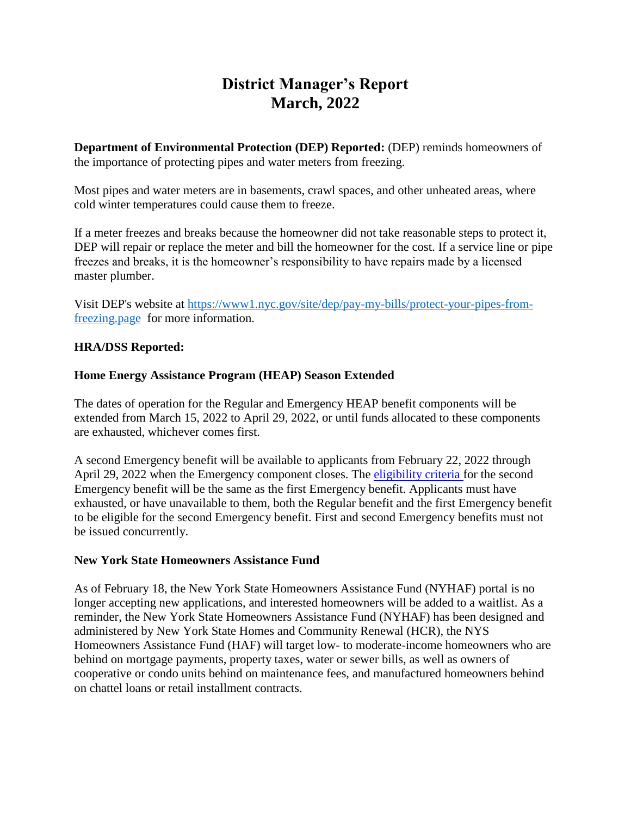# **District Manager's Report March, 2022**

**Department of Environmental Protection (DEP) Reported:** (DEP) reminds homeowners of the importance of protecting pipes and water meters from freezing.

Most pipes and water meters are in basements, crawl spaces, and other unheated areas, where cold winter temperatures could cause them to freeze.

If a meter freezes and breaks because the homeowner did not take reasonable steps to protect it, DEP will repair or replace the meter and bill the homeowner for the cost. If a service line or pipe freezes and breaks, it is the homeowner's responsibility to have repairs made by a licensed master plumber.

Visit DEP's website at [https://www1.nyc.gov/site/dep/pay-my-bills/protect-your-pipes-from](https://www1.nyc.gov/site/dep/pay-my-bills/protect-your-pipes-from-freezing.page)[freezing.page](https://www1.nyc.gov/site/dep/pay-my-bills/protect-your-pipes-from-freezing.page) for more information.

#### **HRA/DSS Reported:**

#### **Home Energy Assistance Program (HEAP) Season Extended**

The dates of operation for the Regular and Emergency HEAP benefit components will be extended from March 15, 2022 to April 29, 2022, or until funds allocated to these components are exhausted, whichever comes first.

A second Emergency benefit will be available to applicants from February 22, 2022 through April 29, 2022 when the Emergency component closes. The [eligibility criteria](https://otda.ny.gov/programs/heap/#emergency-benefit) for the second Emergency benefit will be the same as the first Emergency benefit. Applicants must have exhausted, or have unavailable to them, both the Regular benefit and the first Emergency benefit to be eligible for the second Emergency benefit. First and second Emergency benefits must not be issued concurrently.

#### **New York State Homeowners Assistance Fund**

As of February 18, the New York State Homeowners Assistance Fund (NYHAF) portal is no longer accepting new applications, and interested homeowners will be added to a waitlist. As a reminder, the New York State Homeowners Assistance Fund (NYHAF) has been designed and administered by New York State Homes and Community Renewal (HCR), the NYS Homeowners Assistance Fund (HAF) will target low- to moderate-income homeowners who are behind on mortgage payments, property taxes, water or sewer bills, as well as owners of cooperative or condo units behind on maintenance fees, and manufactured homeowners behind on chattel loans or retail installment contracts.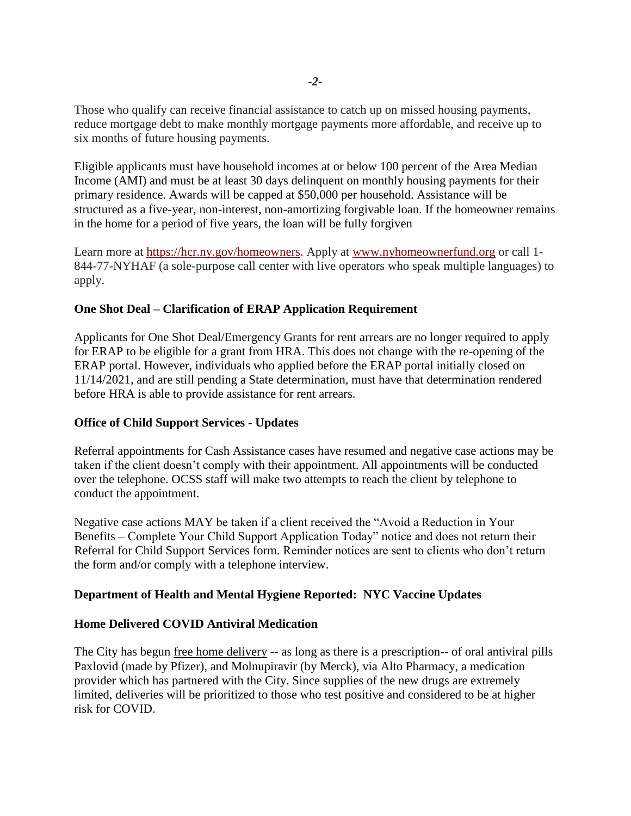Those who qualify can receive financial assistance to catch up on missed housing payments, reduce mortgage debt to make monthly mortgage payments more affordable, and receive up to six months of future housing payments.

Eligible applicants must have household incomes at or below 100 percent of the Area Median Income (AMI) and must be at least 30 days delinquent on monthly housing payments for their primary residence. Awards will be capped at \$50,000 per household. Assistance will be structured as a five-year, non-interest, non-amortizing forgivable loan. If the homeowner remains in the home for a period of five years, the loan will be fully forgiven

Learn more at [https://hcr.ny.gov/homeowners.](https://hcr.ny.gov/homeowners) Apply at [www.nyhomeownerfund.org](http://www.nyhomeownerfund.org/) or call 1-844-77-NYHAF (a sole-purpose call center with live operators who speak multiple languages) to apply.

#### **One Shot Deal – Clarification of ERAP Application Requirement**

Applicants for One Shot Deal/Emergency Grants for rent arrears are no longer required to apply for ERAP to be eligible for a grant from HRA. This does not change with the re-opening of the ERAP portal. However, individuals who applied before the ERAP portal initially closed on 11/14/2021, and are still pending a State determination, must have that determination rendered before HRA is able to provide assistance for rent arrears.

# **Office of Child Support Services - Updates**

Referral appointments for Cash Assistance cases have resumed and negative case actions may be taken if the client doesn't comply with their appointment. All appointments will be conducted over the telephone. OCSS staff will make two attempts to reach the client by telephone to conduct the appointment.

Negative case actions MAY be taken if a client received the "Avoid a Reduction in Your Benefits – Complete Your Child Support Application Today" notice and does not return their Referral for Child Support Services form. Reminder notices are sent to clients who don't return the form and/or comply with a telephone interview.

# **Department of Health and Mental Hygiene Reported: NYC Vaccine Updates**

# **Home Delivered COVID Antiviral Medication**

The City has begun [free home delivery](https://abcnews.go.com/Health/york-city-offer-free-home-delivery-covid-19/story?id=82577870) -- as long as there is a prescription-- of oral antiviral pills Paxlovid (made by Pfizer), and Molnupiravir (by Merck), via Alto Pharmacy, a medication provider which has partnered with the City. Since supplies of the new drugs are extremely limited, deliveries will be prioritized to those who test positive and considered to be at higher risk for COVID.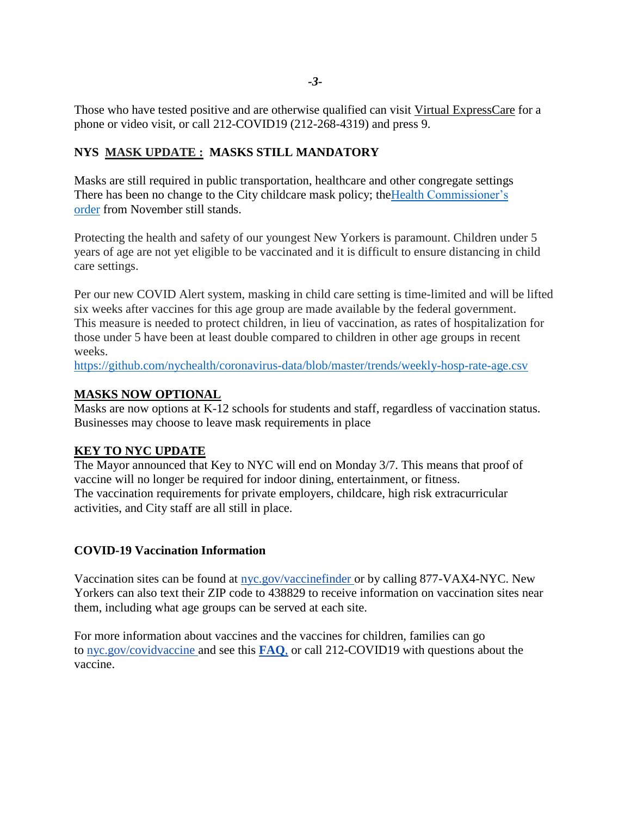Those who have tested positive and are otherwise qualified can visit [Virtual ExpressCare](https://expresscare.nyc/) for a phone or video visit, or call 212-COVID19 (212-268-4319) and press 9.

# **NYS MASK UPDATE : MASKS STILL MANDATORY**

Masks are still required in public transportation, healthcare and other congregate settings There has been no change to the City childcare mask policy; theHealth [Commissioner's](https://www1.nyc.gov/assets/doh/downloads/pdf/covid/vaccination-face-coverings-child-care-early-intervention.pdf) [order](https://www1.nyc.gov/assets/doh/downloads/pdf/covid/vaccination-face-coverings-child-care-early-intervention.pdf) from November still stands.

Protecting the health and safety of our youngest New Yorkers is paramount. Children under 5 years of age are not yet eligible to be vaccinated and it is difficult to ensure distancing in child care settings.

Per our new COVID Alert system, masking in child care setting is time-limited and will be lifted six weeks after vaccines for this age group are made available by the federal government. This measure is needed to protect children, in lieu of vaccination, as rates of hospitalization for those under 5 have been at least double compared to children in other age groups in recent weeks.

<https://github.com/nychealth/coronavirus-data/blob/master/trends/weekly-hosp-rate-age.csv>

# **MASKS NOW OPTIONAL**

Masks are now options at K-12 schools for students and staff, regardless of vaccination status. Businesses may choose to leave mask requirements in place

# **KEY TO NYC UPDATE**

The Mayor announced that Key to NYC will end on Monday 3/7. This means that proof of vaccine will no longer be required for indoor dining, entertainment, or fitness. The vaccination requirements for private employers, childcare, high risk extracurricular activities, and City staff are all still in place.

# **COVID-19 Vaccination Information**

Vaccination sites can be found at [nyc.gov/vaccinefinder](https://vaccinefinder.nyc.gov/) or by calling 877-VAX4-NYC. New Yorkers can also text their ZIP code to 438829 to receive information on vaccination sites near them, including what age groups can be served at each site.

For more information about vaccines and the vaccines for children, families can go to [nyc.gov/covidvaccine](https://www1.nyc.gov/site/doh/covid/covid-19-vaccines.page) and see this **[FAQ](https://www1.nyc.gov/assets/doh/downloads/pdf/covid/covid-19-vaccine-youth-sites-flyer.pdf)**, or call 212-COVID19 with questions about the vaccine.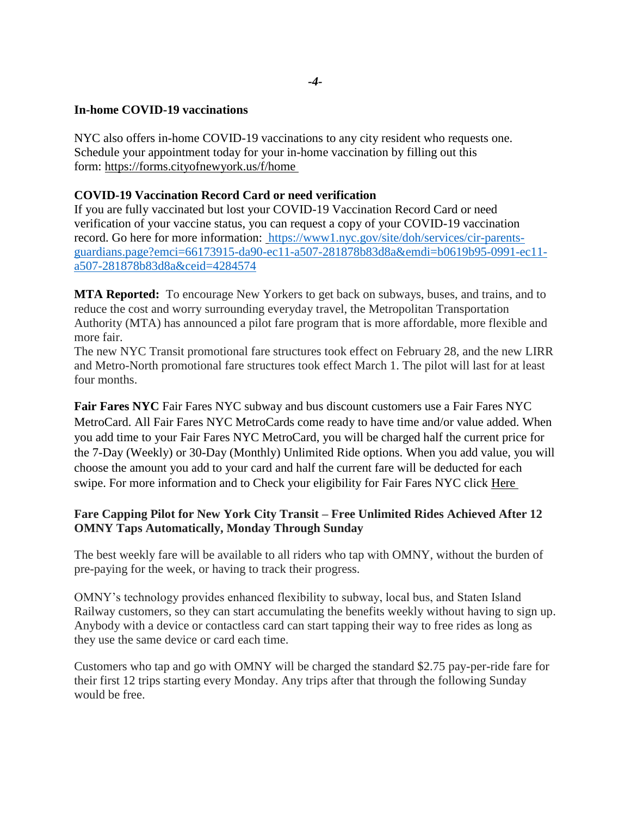#### **In-home COVID-19 vaccinations**

NYC also offers in-home COVID-19 vaccinations to any city resident who requests one. Schedule your appointment today for your in-home vaccination by filling out this form: [https://forms.cityofnewyork.us/f/home](https://click.everyaction.com/k/41967819/331091896/1782594773?nvep=ew0KICAiVGVuYW50VXJpIjogIm5ncHZhbjovL3Zhbi9FQS9FQTAwNi8xLzg2OTc2IiwNCiAgIkRpc3RyaWJ1dGlvblVuaXF1ZUlkIjogImIwNjE5Yjk1LTA5OTEtZWMxMS1hNTA3LTI4MTg3OGI4M2Q4YSIsDQogICJFbWFpbEFkZHJlc3MiOiAiZXByaW5jZUBjYjltLm9yZyINCn0%3D&hmac=h0OXCztI14ve0xc9BZkp2JWBwu-1IwA2XV3yTNb2gtk=&emci=66173915-da90-ec11-a507-281878b83d8a&emdi=b0619b95-0991-ec11-a507-281878b83d8a&ceid=4284574)

#### **COVID-19 Vaccination Record Card or need verification**

If you are fully vaccinated but lost your COVID-19 Vaccination Record Card or need verification of your vaccine status, you can request a copy of your COVID-19 vaccination record. [Go here for more information:](https://click.everyaction.com/k/41967820/331091897/-1532471893?nvep=ew0KICAiVGVuYW50VXJpIjogIm5ncHZhbjovL3Zhbi9FQS9FQTAwNi8xLzg2OTc2IiwNCiAgIkRpc3RyaWJ1dGlvblVuaXF1ZUlkIjogImIwNjE5Yjk1LTA5OTEtZWMxMS1hNTA3LTI4MTg3OGI4M2Q4YSIsDQogICJFbWFpbEFkZHJlc3MiOiAiZXByaW5jZUBjYjltLm9yZyINCn0%3D&hmac=h0OXCztI14ve0xc9BZkp2JWBwu-1IwA2XV3yTNb2gtk=&emci=66173915-da90-ec11-a507-281878b83d8a&emdi=b0619b95-0991-ec11-a507-281878b83d8a&ceid=4284574) [https://www1.nyc.gov/site/doh/services/cir-parents](https://www1.nyc.gov/site/doh/services/cir-parents-guardians.page?emci=66173915-da90-ec11-a507-281878b83d8a&emdi=b0619b95-0991-ec11-a507-281878b83d8a&ceid=4284574)[guardians.page?emci=66173915-da90-ec11-a507-281878b83d8a&emdi=b0619b95-0991-ec11](https://www1.nyc.gov/site/doh/services/cir-parents-guardians.page?emci=66173915-da90-ec11-a507-281878b83d8a&emdi=b0619b95-0991-ec11-a507-281878b83d8a&ceid=4284574) [a507-281878b83d8a&ceid=4284574](https://www1.nyc.gov/site/doh/services/cir-parents-guardians.page?emci=66173915-da90-ec11-a507-281878b83d8a&emdi=b0619b95-0991-ec11-a507-281878b83d8a&ceid=4284574)

**MTA Reported:** To encourage New Yorkers to get back on subways, buses, and trains, and to reduce the cost and worry surrounding everyday travel, the Metropolitan Transportation Authority (MTA) has announced a pilot fare program that is more affordable, more flexible and more fair.

The new NYC Transit promotional fare structures took effect on February 28, and the new LIRR and Metro-North promotional fare structures took effect March 1. The pilot will last for at least four months.

**Fair Fares NYC** Fair Fares NYC subway and bus discount customers use a Fair Fares NYC MetroCard. All Fair Fares NYC MetroCards come ready to have time and/or value added. When you add time to your Fair Fares NYC MetroCard, you will be charged half the current price for the 7-Day (Weekly) or 30-Day (Monthly) Unlimited Ride options. When you add value, you will choose the amount you add to your card and half the current fare will be deducted for each swipe. For more information and to Check your eligibility for Fair Fares NYC click [Here](https://click.everyaction.com/k/41967810/331091887/120768544?nvep=ew0KICAiVGVuYW50VXJpIjogIm5ncHZhbjovL3Zhbi9FQS9FQTAwNi8xLzg2OTc2IiwNCiAgIkRpc3RyaWJ1dGlvblVuaXF1ZUlkIjogImIwNjE5Yjk1LTA5OTEtZWMxMS1hNTA3LTI4MTg3OGI4M2Q4YSIsDQogICJFbWFpbEFkZHJlc3MiOiAiZXByaW5jZUBjYjltLm9yZyINCn0%3D&hmac=h0OXCztI14ve0xc9BZkp2JWBwu-1IwA2XV3yTNb2gtk=&emci=66173915-da90-ec11-a507-281878b83d8a&emdi=b0619b95-0991-ec11-a507-281878b83d8a&ceid=4284574)

# **Fare Capping Pilot for New York City Transit – Free Unlimited Rides Achieved After 12 OMNY Taps Automatically, Monday Through Sunday**

The best weekly fare will be available to all riders who tap with OMNY, without the burden of pre-paying for the week, or having to track their progress.

OMNY's technology provides enhanced flexibility to subway, local bus, and Staten Island Railway customers, so they can start accumulating the benefits weekly without having to sign up. Anybody with a device or contactless card can start tapping their way to free rides as long as they use the same device or card each time.

Customers who tap and go with OMNY will be charged the standard \$2.75 pay-per-ride fare for their first 12 trips starting every Monday. Any trips after that through the following Sunday would be free.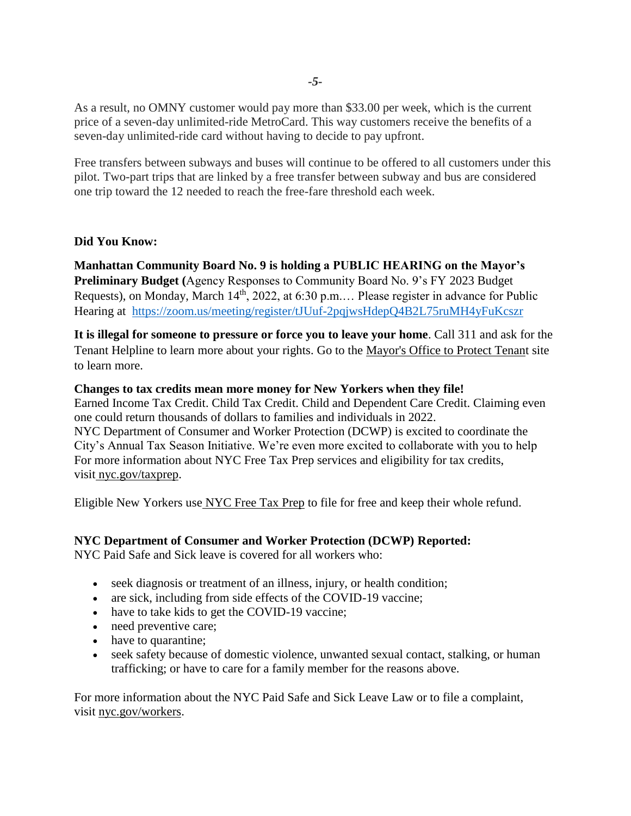As a result, no OMNY customer would pay more than \$33.00 per week, which is the current price of a seven-day unlimited-ride MetroCard. This way customers receive the benefits of a seven-day unlimited-ride card without having to decide to pay upfront.

Free transfers between subways and buses will continue to be offered to all customers under this pilot. Two-part trips that are linked by a free transfer between subway and bus are considered one trip toward the 12 needed to reach the free-fare threshold each week.

#### **Did You Know:**

**Manhattan Community Board No. 9 is holding a PUBLIC HEARING on the Mayor's Preliminary Budget (**Agency Responses to Community Board No. 9's FY 2023 Budget Requests), on Monday, March 14<sup>th</sup>, 2022, at 6:30 p.m.... Please register in advance for Public Hearing at <https://zoom.us/meeting/register/tJUuf-2pqjwsHdepQ4B2L75ruMH4yFuKcszr>

**It is illegal for someone to pressure or force you to leave your home**. Call 311 and ask for the Tenant Helpline to learn more about your rights. Go to the [Mayor's Office to Protect Tenant](https://click.everyaction.com/k/41967815/331091892/-639089575?nvep=ew0KICAiVGVuYW50VXJpIjogIm5ncHZhbjovL3Zhbi9FQS9FQTAwNi8xLzg2OTc2IiwNCiAgIkRpc3RyaWJ1dGlvblVuaXF1ZUlkIjogImIwNjE5Yjk1LTA5OTEtZWMxMS1hNTA3LTI4MTg3OGI4M2Q4YSIsDQogICJFbWFpbEFkZHJlc3MiOiAiZXByaW5jZUBjYjltLm9yZyINCn0%3D&hmac=h0OXCztI14ve0xc9BZkp2JWBwu-1IwA2XV3yTNb2gtk=&emci=66173915-da90-ec11-a507-281878b83d8a&emdi=b0619b95-0991-ec11-a507-281878b83d8a&ceid=4284574) site to learn more.

#### **Changes to tax credits mean more money for New Yorkers when they file!**

Earned Income Tax Credit. Child Tax Credit. Child and Dependent Care Credit. Claiming even one could return thousands of dollars to families and individuals in 2022. NYC Department of Consumer and Worker Protection (DCWP) is excited to coordinate the City's Annual Tax Season Initiative. We're even more excited to collaborate with you to help For more information about NYC Free Tax Prep services and eligibility for tax credits, visit [nyc.gov/taxprep.](https://click.everyaction.com/k/41967812/331091889/-1500705495?nvep=ew0KICAiVGVuYW50VXJpIjogIm5ncHZhbjovL3Zhbi9FQS9FQTAwNi8xLzg2OTc2IiwNCiAgIkRpc3RyaWJ1dGlvblVuaXF1ZUlkIjogImIwNjE5Yjk1LTA5OTEtZWMxMS1hNTA3LTI4MTg3OGI4M2Q4YSIsDQogICJFbWFpbEFkZHJlc3MiOiAiZXByaW5jZUBjYjltLm9yZyINCn0%3D&hmac=h0OXCztI14ve0xc9BZkp2JWBwu-1IwA2XV3yTNb2gtk=&emci=66173915-da90-ec11-a507-281878b83d8a&emdi=b0619b95-0991-ec11-a507-281878b83d8a&ceid=4284574)

Eligible New Yorkers use [NYC Free Tax Prep](https://click.everyaction.com/k/41967813/331091890/-1500705495?nvep=ew0KICAiVGVuYW50VXJpIjogIm5ncHZhbjovL3Zhbi9FQS9FQTAwNi8xLzg2OTc2IiwNCiAgIkRpc3RyaWJ1dGlvblVuaXF1ZUlkIjogImIwNjE5Yjk1LTA5OTEtZWMxMS1hNTA3LTI4MTg3OGI4M2Q4YSIsDQogICJFbWFpbEFkZHJlc3MiOiAiZXByaW5jZUBjYjltLm9yZyINCn0%3D&hmac=h0OXCztI14ve0xc9BZkp2JWBwu-1IwA2XV3yTNb2gtk=&emci=66173915-da90-ec11-a507-281878b83d8a&emdi=b0619b95-0991-ec11-a507-281878b83d8a&ceid=4284574) to file for free and keep their whole refund.

#### **NYC Department of Consumer and Worker Protection (DCWP) Reported:**

NYC Paid Safe and Sick leave is covered for all workers who:

- seek diagnosis or treatment of an illness, injury, or health condition;
- are sick, including from side effects of the COVID-19 vaccine;
- have to take kids to get the COVID-19 vaccine;
- need preventive care;
- have to quarantine;
- seek safety because of domestic violence, unwanted sexual contact, stalking, or human trafficking; or have to care for a family member for the reasons above.

For more information about the NYC Paid Safe and Sick Leave Law or to file a complaint, visit [nyc.gov/workers.](https://click.everyaction.com/k/40922102/326540390/1461469612?nvep=ew0KICAiVGVuYW50VXJpIjogIm5ncHZhbjovL3Zhbi9FQS9FQTAwNi8xLzg2OTc2IiwNCiAgIkRpc3RyaWJ1dGlvblVuaXF1ZUlkIjogIjg4NWRkZTg2LWY2N2EtZWMxMS05NGY2LWM4OTY2NTBkNDQ0MiIsDQogICJFbWFpbEFkZHJlc3MiOiAiZXByaW5jZUBjYjltLm9yZyINCn0%3D&hmac=0Lgcl9dyeB-Zmp0szJsD_0Tkp2TlziO75IKvVVpO0y4=&emci=d07252f3-3c7a-ec11-94f6-c896650d4442&emdi=885dde86-f67a-ec11-94f6-c896650d4442&ceid=4284574)